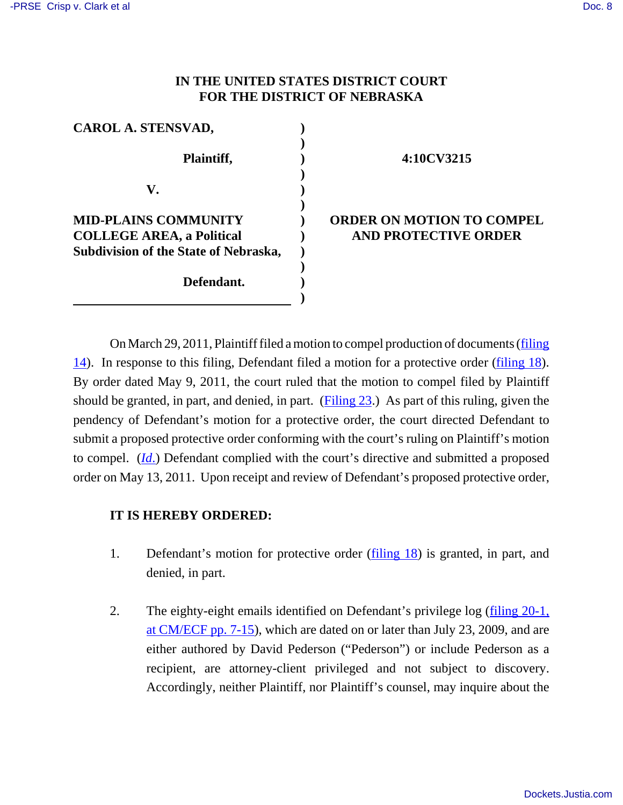# **IN THE UNITED STATES DISTRICT COURT FOR THE DISTRICT OF NEBRASKA**

| <b>CAROL A. STENSVAD,</b>             |  |
|---------------------------------------|--|
|                                       |  |
| Plaintiff,                            |  |
|                                       |  |
| V.                                    |  |
|                                       |  |
| <b>MID-PLAINS COMMUNITY</b>           |  |
| <b>COLLEGE AREA, a Political</b>      |  |
| Subdivision of the State of Nebraska, |  |
|                                       |  |
| Defendant.                            |  |
|                                       |  |

#### **4:10CV3215**

## **ORDER ON MOTION TO COMPEL AND PROTECTIVE ORDER**

On March 29, 2011, Plaintiff filed a motion to compel production of documents (filing 14). In response to this filing, Defendant filed a motion for a protective order (filing 18). By order dated May 9, 2011, the court ruled that the motion to compel filed by Plaintiff should be granted, in part, and denied, in part. (Filing 23.) As part of this ruling, given the pendency of Defendant's motion for a protective order, the court directed Defendant to submit a proposed protective order conforming with the court's ruling on Plaintiff's motion to compel. (*Id*.) Defendant complied with the court's directive and submitted a proposed order on May 13, 2011. Upon receipt and review of Defendant's proposed protective order,

## **IT IS HEREBY ORDERED:**

- 1. Defendant's motion for protective order (filing 18) is granted, in part, and denied, in part.
- 2. The eighty-eight emails identified on Defendant's privilege log (filing 20-1, at CM/ECF pp. 7-15), which are dated on or later than July 23, 2009, and are either authored by David Pederson ("Pederson") or include Pederson as a recipient, are attorney-client privileged and not subject to discovery. Accordingly, neither Plaintiff, nor Plaintiff's counsel, may inquire about the